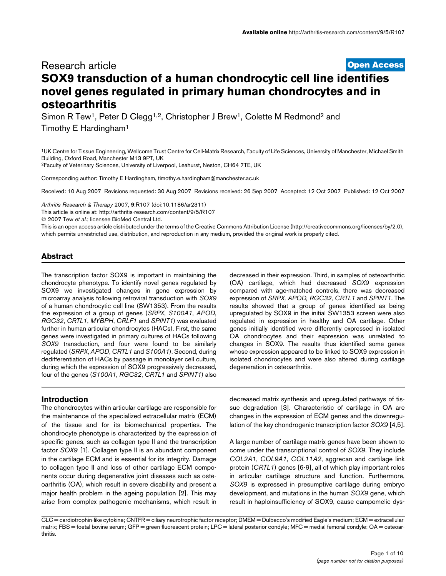# **[Open Access](http://www.biomedcentral.com/info/about/charter/)** Research article **SOX9 transduction of a human chondrocytic cell line identifies novel genes regulated in primary human chondrocytes and in osteoarthritis**

Simon R Tew<sup>1</sup>, Peter D Clegg<sup>1,2</sup>, Christopher J Brew<sup>1</sup>, Colette M Redmond<sup>2</sup> and Timothy E Hardingham1

1UK Centre for Tissue Engineering, Wellcome Trust Centre for Cell-Matrix Research, Faculty of Life Sciences, University of Manchester, Michael Smith Building, Oxford Road, Manchester M13 9PT, UK

2Faculty of Veterinary Sciences, University of Liverpool, Leahurst, Neston, CH64 7TE, UK

Corresponding author: Timothy E Hardingham, timothy.e.hardingham@manchester.ac.uk

Received: 10 Aug 2007 Revisions requested: 30 Aug 2007 Revisions received: 26 Sep 2007 Accepted: 12 Oct 2007 Published: 12 Oct 2007

*Arthritis Research & Therapy* 2007, **9**:R107 (doi:10.1186/ar2311) [This article is online at: http://arthritis-research.com/content/9/5/R107](http://arthritis-research.com/content/9/5/R107)

© 2007 Tew *et al*.; licensee BioMed Central Ltd.

This is an open access article distributed under the terms of the Creative Commons Attribution License [\(http://creativecommons.org/licenses/by/2.0\)](http://creativecommons.org/licenses/by/2.0), which permits unrestricted use, distribution, and reproduction in any medium, provided the original work is properly cited.

# **Abstract**

The transcription factor SOX9 is important in maintaining the chondrocyte phenotype. To identify novel genes regulated by SOX9 we investigated changes in gene expression by microarray analysis following retroviral transduction with *SOX9* of a human chondrocytic cell line (SW1353). From the results the expression of a group of genes (*SRPX*, *S100A1*, *APOD*, *RGC32*, *CRTL1*, *MYBPH*, *CRLF1* and *SPINT1*) was evaluated further in human articular chondrocytes (HACs). First, the same genes were investigated in primary cultures of HACs following *SOX9* transduction, and four were found to be similarly regulated (*SRPX*, *APOD*, *CRTL1* and *S100A1*). Second, during dedifferentiation of HACs by passage in monolayer cell culture, during which the expression of SOX9 progressively decreased, four of the genes (*S100A1*, *RGC32*, *CRTL1* and *SPINT1*) also

decreased in their expression. Third, in samples of osteoarthritic (OA) cartilage, which had decreased *SOX9* expression compared with age-matched controls, there was decreased expression of *SRPX, APOD, RGC32, CRTL1* and *SPINT1*. The results showed that a group of genes identified as being upregulated by SOX9 in the initial SW1353 screen were also regulated in expression in healthy and OA cartilage. Other genes initially identified were differently expressed in isolated OA chondrocytes and their expression was unrelated to changes in SOX9. The results thus identified some genes whose expression appeared to be linked to SOX9 expression in isolated chondrocytes and were also altered during cartilage degeneration in osteoarthritis.

### **Introduction**

The chondrocytes within articular cartilage are responsible for the maintenance of the specialized extracellular matrix (ECM) of the tissue and for its biomechanical properties. The chondrocyte phenotype is characterized by the expression of specific genes, such as collagen type II and the transcription factor *SOX9* [1]. Collagen type II is an abundant component in the cartilage ECM and is essential for its integrity. Damage to collagen type II and loss of other cartilage ECM components occur during degenerative joint diseases such as osteoarthritis (OA), which result in severe disability and present a major health problem in the ageing population [2]. This may arise from complex pathogenic mechanisms, which result in

decreased matrix synthesis and upregulated pathways of tissue degradation [3]. Characteristic of cartilage in OA are changes in the expression of ECM genes and the downregulation of the key chondrogenic transcription factor *SOX9* [4,5].

A large number of cartilage matrix genes have been shown to come under the transcriptional control of *SOX9*. They include *COL2A1*, *COL9A1*, *COL11A2*, aggrecan and cartilage link protein (*CRTL1*) genes [6-9], all of which play important roles in articular cartilage structure and function. Furthermore, *SOX9* is expressed in presumptive cartilage during embryo development, and mutations in the human *SOX9* gene, which result in haploinsufficiency of SOX9, cause campomelic dys-

CLC = cardiotrophin-like cytokine; CNTFR = ciliary neurotrophic factor receptor; DMEM = Dulbecco's modified Eagle's medium; ECM = extracellular matrix; FBS = foetal bovine serum; GFP = green fluorescent protein; LPC = lateral posterior condyle; MFC = medial femoral condyle; OA = osteoarthritis.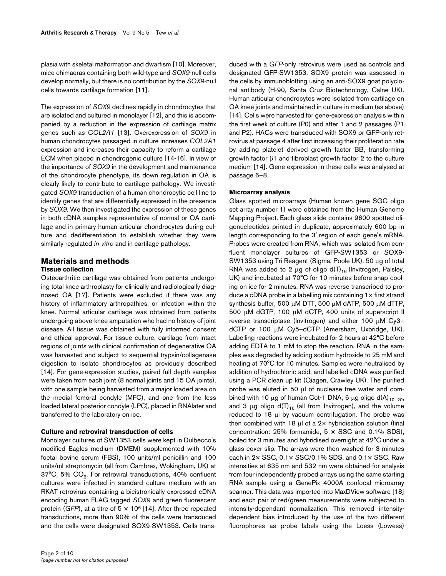plasia with skeletal malformation and dwarfism [10]. Moreover, mice chimaeras containing both wild-type and *SOX9*-null cells develop normally, but there is no contribution by the *SOX9*-null cells towards cartilage formation [11].

The expression of *SOX9* declines rapidly in chondrocytes that are isolated and cultured in monolayer [12], and this is accompanied by a reduction in the expression of cartilage matrix genes such as *COL2A1* [13]. Overexpression of *SOX9* in human chondrocytes passaged in culture increases *COL2A1* expression and increases their capacity to reform a cartilage ECM when placed in chondrogenic culture [14-16]. In view of the importance of *SOX9* in the development and maintenance of the chondrocyte phenotype, its down regulation in OA is clearly likely to contribute to cartilage pathology. We investigated *SOX9* transduction of a human chondrocytic cell line to identify genes that are differentially expressed in the presence by *SOX9*. We then investigated the expression of these genes in both cDNA samples representative of normal or OA cartilage and in primary human articular chondrocytes during culture and dedifferentiation to establish whether they were similarly regulated *in vitro* and in cartilage pathology.

# **Materials and methods Tissue collection**

Osteoarthritic cartilage was obtained from patients undergoing total knee arthroplasty for clinically and radiologically diagnosed OA [17]. Patients were excluded if there was any history of inflammatory arthropathies, or infection within the knee. Normal articular cartilage was obtained from patients undergoing above-knee amputation who had no history of joint disease. All tissue was obtained with fully informed consent and ethical approval. For tissue culture, cartilage from intact regions of joints with clinical confirmation of degenerative OA was harvested and subject to sequential trypsin/collagenase digestion to isolate chondrocytes as previously described [14]. For gene-expression studies, paired full depth samples were taken from each joint (8 normal joints and 15 OA joints), with one sample being harvested from a major loaded area on the medial femoral condyle (MFC), and one from the less loaded lateral posterior condyle (LPC), placed in RNAlater and transferred to the laboratory on ice.

# **Culture and retroviral transduction of cells**

Monolayer cultures of SW1353 cells were kept in Dulbecco's modified Eagles medium (DMEM) supplemented with 10% foetal bovine serum (FBS), 100 units/ml penicillin and 100 units/ml streptomycin (all from Cambrex, Wokingham, UK) at 37°C, 5%  $CO<sub>2</sub>$ . For retroviral transductions, 40% confluent cultures were infected in standard culture medium with an RKAT retrovirus containing a bicistronically expressed cDNA encoding human FLAG tagged *SOX9* and green fluorescent protein (*GFP*), at a titre of  $5 \times 10^6$  [14]. After three repeated transductions, more than 90% of the cells were transduced and the cells were designated SOX9-SW1353. Cells transduced with a *GFP*-only retrovirus were used as controls and designated GFP-SW1353. SOX9 protein was assessed in the cells by immunoblotting using an anti-SOX9 goat polyclonal antibody (H-90, Santa Cruz Biotechnology, Calne UK). Human articular chondrocytes were isolated from cartilage on OA knee joints and maintained in culture in medium (as above) [14]. Cells were harvested for gene-expression analysis within the first week of culture (P0) and after 1 and 2 passages (P1 and P2). HACs were transduced with SOX9 or GFP-only retrovirus at passage 4 after first increasing their proliferation rate by adding platelet derived growth factor BB, transforming growth factor β1 and fibroblast growth factor 2 to the culture medium [14]. Gene expression in these cells was analysed at passage 6–8.

# **Microarray analysis**

Glass spotted microarrays (Human known gene SGC oligo set array number 1) were obtained from the Human Genome Mapping Project. Each glass slide contains 9600 spotted oligonucleotides printed in duplicate, approximately 600 bp in length corresponding to the 3' region of each gene's mRNA. Probes were created from RNA, which was isolated from confluent monolayer cultures of GFP-SW1353 or SOX9- SW1353 using Tri Reagent (Sigma, Poole UK). 50 μg of total RNA was added to 2  $\mu$ g of oligo d(T)<sub>16</sub> (Invitrogen, Paisley, UK) and incubated at 70°C for 10 minutes before snap cooling on ice for 2 minutes. RNA was reverse transcribed to produce a cDNA probe in a labelling mix containing 1× first strand synthesis buffer, 500 μM DTT, 500 μM dATP, 500 μM dTTP, 500 μM dGTP, 100 μM dCTP, 400 units of superscript II reverse transcriptase (Invitrogen) and either 100 μM Cy3– dCTP or 100 μM Cy5–dCTP (Amersham, Uxbridge, UK). Labelling reactions were incubated for 2 hours at 42°C before adding EDTA to 1 mM to stop the reaction. RNA in the samples was degraded by adding sodium hydroxide to 25 mM and heating at 70°C for 10 minutes. Samples were neutralised by addition of hydrochloric acid, and labelled cDNA was purified using a PCR clean up kit (Qiagen, Crawley UK). The purified probe was eluted in 50 μl of nuclease free water and combined with 10 μg of human Cot-1 DNA, 6 μg oligo d(A)<sub>10-20</sub>, and 3  $\mu$ g oligo d(T)<sub>16</sub> (all from Invitrogen), and the volume reduced to 18 μl by vacuum centrifugation. The probe was then combined with 18  $\mu$ l of a 2× hybridisation solution (final concentration:  $25\%$  formamide,  $5 \times SSC$  and  $0.1\%$  SDS), boiled for 3 minutes and hybridised overnight at 42°C under a glass cover slip. The arrays were then washed for 3 minutes each in 2× SSC, 0.1× SSC/0.1% SDS, and 0.1× SSC. Raw intensities at 635 nm and 532 nm were obtained for analysis from four independently probed arrays using the same starting RNA sample using a GenePix 4000A confocal microarray scanner. This data was imported into MaxDView software [18] and each pair of red/green measurements were subjected to intensity-dependant normalization. This removed intensitydependent bias introduced by the use of the two different fluorophores as probe labels using the Loess (Lowess)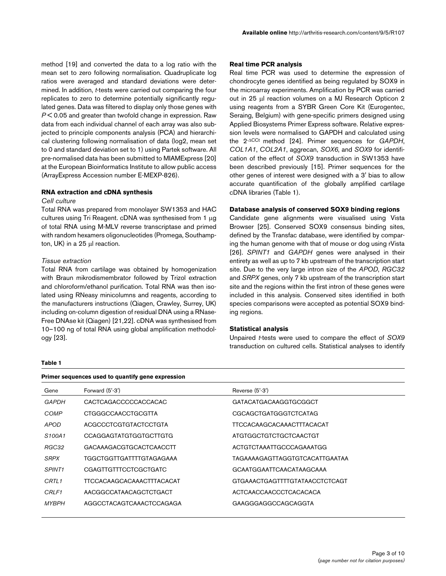method [19] and converted the data to a log ratio with the mean set to zero following normalisation. Quadruplicate log ratios were averaged and standard deviations were determined. In addition, *t*-tests were carried out comparing the four replicates to zero to determine potentially significantly regulated genes. Data was filtered to display only those genes with *P* < 0.05 and greater than twofold change in expression. Raw data from each individual channel of each array was also subjected to principle components analysis (PCA) and hierarchical clustering following normalisation of data (log2, mean set to 0 and standard deviation set to 1) using Partek software. All pre-normalised data has been submitted to MIAMExpress [20] at the European Bioinformatics Institute to allow public access (ArrayExpress Accession number E-MEXP-826).

### **RNA extraction and cDNA synthesis**

#### *Cell culture*

Total RNA was prepared from monolayer SW1353 and HAC cultures using Tri Reagent. cDNA was synthesised from 1 μg of total RNA using M-MLV reverse transcriptase and primed with random hexamers oligonucleotides (Promega, Southampton, UK) in a 25 μl reaction.

### *Tissue extraction*

Total RNA from cartilage was obtained by homogenization with Braun mikrodismembrator followed by Trizol extraction and chloroform/ethanol purification. Total RNA was then isolated using RNeasy minicolumns and reagents, according to the manufacturers instructions (Qiagen, Crawley, Surrey, UK) including on-column digestion of residual DNA using a RNase-Free DNAse kit (Qiagen) [21,22]. cDNA was synthesised from 10–100 ng of total RNA using global amplification methodology [23].

#### **Table 1**

### **Real time PCR analysis**

Real time PCR was used to determine the expression of chondrocyte genes identified as being regulated by SOX9 in the microarray experiments. Amplification by PCR was carried out in 25 μl reaction volumes on a MJ Research Opticon 2 using reagents from a SYBR Green Core Kit (Eurogentec, Seraing, Belgium) with gene-specific primers designed using Applied Biosystems Primer Express software. Relative expression levels were normalised to GAPDH and calculated using the 2-<sup>Δ</sup>CCt method [24]. Primer sequences for *GAPDH*, *COL1A1*, *COL2A1*, aggrecan, *SOX6*, and *SOX9* for identification of the effect of *SOX9* transduction in SW1353 have been described previously [15]. Primer sequences for the other genes of interest were designed with a 3' bias to allow accurate quantification of the globally amplified cartilage cDNA libraries (Table 1).

### **Database analysis of conserved SOX9 binding regions**

Candidate gene alignments were visualised using Vista Browser [25]. Conserved SOX9 consensus binding sites, defined by the Transfac database, were identified by comparing the human genome with that of mouse or dog using rVista [26]. *SPINT1* and *GAPDH* genes were analysed in their entirety as well as up to 7 kb upstream of the transcription start site. Due to the very large intron size of the *APOD*, *RGC32* and *SRPX* genes, only 7 kb upstream of the transcription start site and the regions within the first intron of these genes were included in this analysis. Conserved sites identified in both species comparisons were accepted as potential SOX9 binding regions.

#### **Statistical analysis**

Unpaired *t*-tests were used to compare the effect of *SOX9* transduction on cultured cells. Statistical analyses to identify

|                                 | Primer sequences used to quantify gene expression |                                |  |  |  |
|---------------------------------|---------------------------------------------------|--------------------------------|--|--|--|
| Gene                            | Forward (5'-3')                                   | Reverse $(5'-3')$              |  |  |  |
| GAPDH                           | CACTCAGACCCCCACCACAC                              | GATACATGACAAGGTGCGGCT          |  |  |  |
| COMP                            | CTGGGCCAACCTGCGTTA                                | CGCAGCTGATGGGTCTCATAG          |  |  |  |
| <i>APOD</i>                     | ACGCCCTCGTGTACTCCTGTA                             | TTCCACAAGCACAAACTTTACACAT      |  |  |  |
| S <sub>100</sub> A <sub>1</sub> | <b>CCAGGAGTATGTGGTGCTTGTG</b>                     | ATGTGGCTGTCTGCTCAACTGT         |  |  |  |
| RGC32                           | GACAAAGACGTGCACTCAACCTT                           | ACTGTCTAAATTGCCCAGAAATGG       |  |  |  |
| <b>SRPX</b>                     | TGGCTGGTTGATTTTGTAGAGAAA                          | TAGAAAAGAGTTAGGTGTCACATTGAATAA |  |  |  |
| SPINT <sub>1</sub>              | <b>CGAGTTGTTTCCTCGCTGATC</b>                      | GCAATGGAATTCAACATAAGCAAA       |  |  |  |
| CRTL <sub>1</sub>               | <b>TTCCACAAGCACAAACTTTACACAT</b>                  | GTGAAACTGAGTTTTGTATAACCTCTCAGT |  |  |  |
| CRLF1                           | AACGGCCATAACAGCTCTGACT                            | ACTCAACCAACCCTCACACACA         |  |  |  |
| <i>MYBPH</i>                    | AGGCCTACAGTCAAACTCCAGAGA                          | GAAGGGAGGCCAGCAGGTA            |  |  |  |
|                                 |                                                   |                                |  |  |  |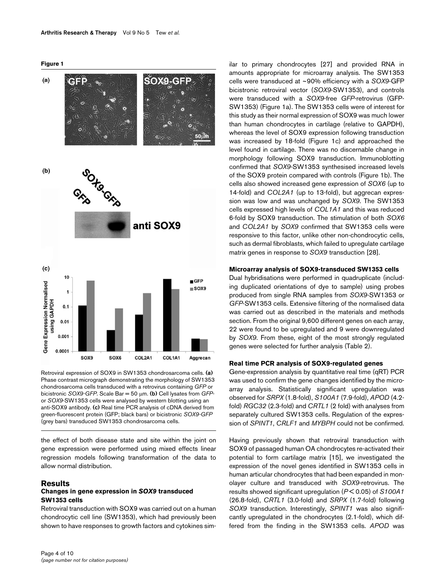



Retroviral expression of SOX9 in SW1353 chondrosarcoma cells. (a) Phase contrast micrograph demonstrating the morphology of SW1353 chondrosarcoma cells transduced with a retrovirus containing *GFP* or bicistronic *SOX9-GFP*. Scale Bar = 50 μm. **(b)** Cell lysates from *GFP*or *SOX9*-SW1353 cells were analysed by western blotting using an anti-SOX9 antibody. **(c)** Real time PCR analysis of cDNA derived from green-fluorescent protein (GFP; black bars) or bicistronic *SOX9-GFP*  (grey bars) transduced SW1353 chondrosarcoma cells.

the effect of both disease state and site within the joint on gene expression were performed using mixed effects linear regression models following transformation of the data to allow normal distribution.

### **Results**

# **Changes in gene expression in** *SOX9* **transduced SW1353 cells**

Retroviral transduction with SOX9 was carried out on a human chondrocytic cell line (SW1353), which had previously been shown to have responses to growth factors and cytokines similar to primary chondrocytes [27] and provided RNA in amounts appropriate for microarray analysis. The SW1353 cells were transduced at ~90% efficiency with a *SOX9*-GFP bicistronic retroviral vector (*SOX9*-SW1353), and controls were transduced with a *SOX9*-free *GFP*-retrovirus (GFP-SW1353) (Figure 1a). The SW1353 cells were of interest for this study as their normal expression of SOX9 was much lower than human chondrocytes in cartilage (relative to GAPDH), whereas the level of SOX9 expression following transduction was increased by 18-fold (Figure 1c) and approached the level found in cartilage. There was no discernable change in morphology following SOX9 transduction. Immunoblotting confirmed that *SOX9*-SW1353 synthesised increased levels of the SOX9 protein compared with controls (Figure 1b). The cells also showed increased gene expression of *SOX6* (up to 14-fold) and *COL2A1* (up to 13-fold), but aggrecan expression was low and was unchanged by *SOX9*. The SW1353 cells expressed high levels of *COL1A1* and this was reduced 6-fold by SOX9 transduction. The stimulation of both *SOX6* and *COL2A1* by *SOX9* confirmed that SW1353 cells were responsive to this factor, unlike other non-chondrocytic cells, such as dermal fibroblasts, which failed to upregulate cartilage matrix genes in response to *SOX9* transduction [28].

#### **Microarray analysis of SOX9-transduced SW1353 cells**

Dual hybridisations were performed in quadruplicate (including duplicated orientations of dye to sample) using probes produced from single RNA samples from *SOX9*-SW1353 or *GFP*-SW1353 cells. Extensive filtering of the normalised data was carried out as described in the materials and methods section. From the original 9,600 different genes on each array, 22 were found to be upregulated and 9 were downregulated by *SOX9*. From these, eight of the most strongly regulated genes were selected for further analysis (Table 2).

#### **Real time PCR analysis of SOX9-regulated genes**

Gene-expression analysis by quantitative real time (qRT) PCR was used to confirm the gene changes identified by the microarray analysis. Statistically significant upregulation was observed for *SRPX* (1.8-fold), *S100A1* (7.9-fold), *APOD* (4.2 fold) *RGC32* (2.3-fold) and *CRTL1* (2 fold) with analyses from separately cultured SW1353 cells. Regulation of the expression of *SPINT1*, *CRLF1* and *MYBPH* could not be confirmed.

Having previously shown that retroviral transduction with SOX9 of passaged human OA chondrocytes re-activated their potential to form cartilage matrix [15], we investigated the expression of the novel genes identified in SW1353 cells in human articular chondrocytes that had been expanded in monolayer culture and transduced with *SOX9*-retrovirus. The results showed significant upregulation (*P* < 0.05) of *S100A1* (26.8-fold), *CRTL1* (3.0-fold) and *SRPX* (1.7-fold) following *SOX9* transduction. Interestingly, *SPINT1* was also significantly upregulated in the chondrocytes (2.1-fold), which differed from the finding in the SW1353 cells. *APOD* was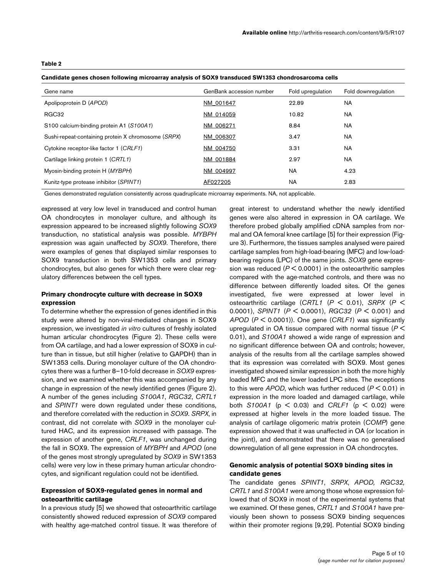### **Table 2**

**Candidate genes chosen following microarray analysis of SOX9 transduced SW1353 chondrosarcoma cells**

| Gene name                                           | GenBank accession number | Fold upregulation | Fold downregulation |
|-----------------------------------------------------|--------------------------|-------------------|---------------------|
| Apolipoprotein D (APOD)                             | NM 001647                | 22.89             | <b>NA</b>           |
| RGC32                                               | NM 014059                | 10.82             | NA                  |
| S100 calcium-binding protein A1 (S100A1)            | NM 006271                | 8.84              | <b>NA</b>           |
| Sushi-repeat-containing protein X chromosome (SRPX) | NM 006307                | 3.47              | NA                  |
| Cytokine receptor-like factor 1 (CRLF1)             | NM 004750                | 3.31              | <b>NA</b>           |
| Cartilage linking protein 1 (CRTL1)                 | NM 001884                | 2.97              | <b>NA</b>           |
| Myosin-binding protein H (MYBPH)                    | NM 004997                | <b>NA</b>         | 4.23                |
| Kunitz-type protease inhibitor (SPINT1)             | AF027205                 | <b>NA</b>         | 2.83                |

Genes demonstrated regulation consistently across quadruplicate microarray experiments. NA, not applicable.

expressed at very low level in transduced and control human OA chondrocytes in monolayer culture, and although its expression appeared to be increased slightly following *SOX9* transduction, no statistical analysis was possible. *MYBPH* expression was again unaffected by *SOX9*. Therefore, there were examples of genes that displayed similar responses to SOX9 transduction in both SW1353 cells and primary chondrocytes, but also genes for which there were clear regulatory differences between the cell types.

### **Primary chondrocyte culture with decrease in SOX9 expression**

To determine whether the expression of genes identified in this study were altered by non-viral-mediated changes in SOX9 expression, we investigated *in vitro* cultures of freshly isolated human articular chondrocytes (Figure [2\)](#page-5-0). These cells were from OA cartilage, and had a lower expression of SOX9 in culture than in tissue, but still higher (relative to GAPDH) than in SW1353 cells. During monolayer culture of the OA chondrocytes there was a further 8–10-fold decrease in *SOX9* expression, and we examined whether this was accompanied by any change in expression of the newly identified genes (Figure [2](#page-5-0)). A number of the genes including *S100A1*, *RGC32*, *CRTL1* and *SPINT1* were down regulated under these conditions, and therefore correlated with the reduction in *SOX9*. *SRPX*, in contrast, did not correlate with *SOX9* in the monolayer cultured HAC, and its expression increased with passage. The expression of another gene, *CRLF1*, was unchanged during the fall in SOX9. The expression of *MYBPH* and *APOD* (one of the genes most strongly upregulated by *SOX9* in SW1353 cells) were very low in these primary human articular chondrocytes, and significant regulation could not be identified.

# **Expression of SOX9-regulated genes in normal and osteoarthritic cartilage**

In a previous study [5] we showed that osteoarthritic cartilage consistently showed reduced expression of *SOX9* compared with healthy age-matched control tissue. It was therefore of

great interest to understand whether the newly identified genes were also altered in expression in OA cartilage. We therefore probed globally amplified cDNA samples from normal and OA femoral knee cartilage [5] for their expression (Figure 3). Furthermore, the tissues samples analysed were paired cartilage samples from high-load-bearing (MFC) and low-loadbearing regions (LPC) of the same joints. *SOX9* gene expression was reduced (*P* < 0.0001) in the osteoarthritic samples compared with the age-matched controls, and there was no difference between differently loaded sites. Of the genes investigated, five were expressed at lower level in osteoarthritic cartilage (*CRTL1* (*P* < 0.01), *SRPX* (*P* < 0.0001), *SPINT1* (*P* < 0.0001), *RGC32* (*P* < 0.001) and *APOD* (*P* < 0.0001)). One gene (*CRLF1*) was significantly upregulated in OA tissue compared with normal tissue (*P* < 0.01), and *S100A1* showed a wide range of expression and no significant difference between OA and controls; however, analysis of the results from all the cartilage samples showed that its expression was correlated with SOX9. Most genes investigated showed similar expression in both the more highly loaded MFC and the lower loaded LPC sites. The exceptions to this were *APOD*, which was further reduced (*P* < 0.01) in expression in the more loaded and damaged cartilage, while both *S100A1* (p < 0.03) and *CRLF1* (p < 0.02) were expressed at higher levels in the more loaded tissue. The analysis of cartilage oligomeric matrix protein (*COMP*) gene expression showed that it was unaffected in OA (or location in the joint), and demonstrated that there was no generalised downregulation of all gene expression in OA chondrocytes.

# **Genomic analysis of potential SOX9 binding sites in candidate genes**

The candidate genes *SPINT1*, *SRPX*, *APOD, RGC32, CRTL1* and *S100A1* were among those whose expression followed that of SOX9 in most of the experimental systems that we examined. Of these genes, *CRTL1* and *S100A1* have previously been shown to possess SOX9 binding sequences within their promoter regions [9,29]. Potential SOX9 binding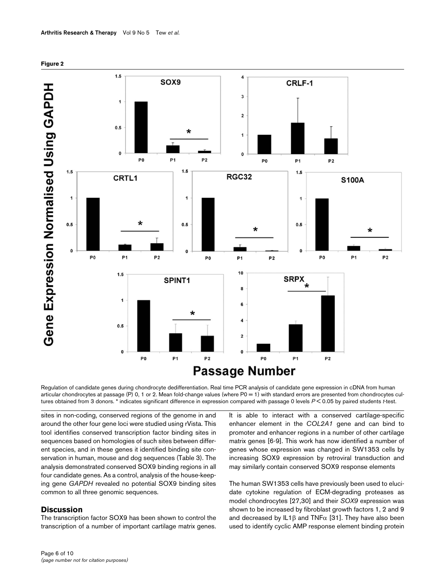

<span id="page-5-0"></span>

Regulation of candidate genes during chondrocyte dedifferentiation. Real time PCR analysis of candidate gene expression in cDNA from human articular chondrocytes at passage (P) 0, 1 or 2. Mean fold-change values (where P0 = 1) with standard errors are presented from chondrocytes cultures obtained from 3 donors. \* indicates significant difference in expression compared with passage 0 levels *P* < 0.05 by paired students *t*-test.

sites in non-coding, conserved regions of the genome in and around the other four gene loci were studied using rVista. This tool identifies conserved transcription factor binding sites in sequences based on homologies of such sites between different species, and in these genes it identified binding site conservation in human, mouse and dog sequences (Table 3). The analysis demonstrated conserved SOX9 binding regions in all four candidate genes. As a control, analysis of the house-keeping gene *GAPDH* revealed no potential SOX9 binding sites common to all three genomic sequences.

# **Discussion**

The transcription factor SOX9 has been shown to control the transcription of a number of important cartilage matrix genes. It is able to interact with a conserved cartilage-specific enhancer element in the *COL2A1* gene and can bind to promoter and enhancer regions in a number of other cartilage matrix genes [6-9]. This work has now identified a number of genes whose expression was changed in SW1353 cells by increasing SOX9 expression by retroviral transduction and may similarly contain conserved SOX9 response elements

The human SW1353 cells have previously been used to elucidate cytokine regulation of ECM-degrading proteases as model chondrocytes [27,30] and their *SOX9* expression was shown to be increased by fibroblast growth factors 1, 2 and 9 and decreased by IL1 $\beta$  and TNF $\alpha$  [31]. They have also been used to identify cyclic AMP response element binding protein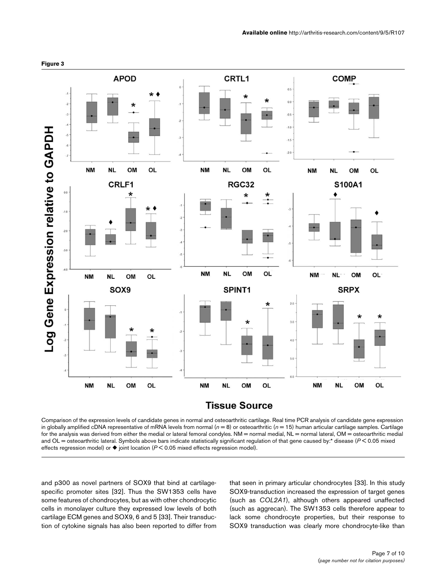

Comparison of the expression levels of candidate genes in normal and osteoarthritic cartilage. Real time PCR analysis of candidate gene expression in globally amplified cDNA representative of mRNA levels from normal ( $n = 8$ ) or osteoarthritic ( $n = 15$ ) human articular cartilage samples. Cartilage for the analysis was derived from either the medial or lateral femoral condyles. NM = normal medial, NL = normal lateral, OM = osteoarthritic medial and OL = osteoarthritic lateral. Symbols above bars indicate statistically significant regulation of that gene caused by:\* disease ( $P$  < 0.05 mixed effects regression model) or  $\blacklozenge$  joint location (*P* < 0.05 mixed effects regression model).

and p300 as novel partners of SOX9 that bind at cartilagespecific promoter sites [32]. Thus the SW1353 cells have some features of chondrocytes, but as with other chondrocytic cells in monolayer culture they expressed low levels of both cartilage ECM genes and SOX9, 6 and 5 [33]. Their transduction of cytokine signals has also been reported to differ from that seen in primary articular chondrocytes [33]. In this study SOX9-transduction increased the expression of target genes (such as *COL2A1*), although others appeared unaffected (such as aggrecan). The SW1353 cells therefore appear to lack some chondrocyte properties, but their response to SOX9 transduction was clearly more chondrocyte-like than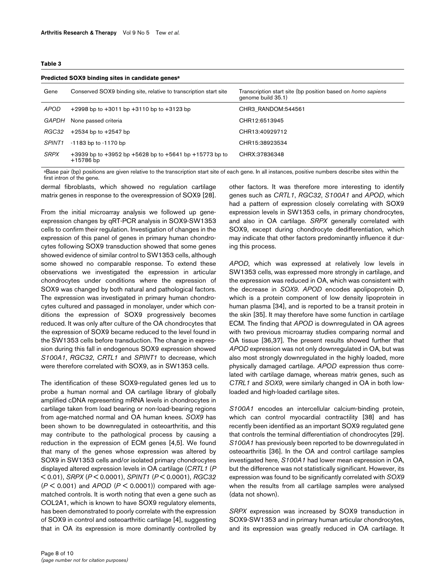#### **Table 3**

| Predicted SOX9 binding sites in candidate genes <sup>a</sup> |                                                                                 |                                                                                          |  |  |  |
|--------------------------------------------------------------|---------------------------------------------------------------------------------|------------------------------------------------------------------------------------------|--|--|--|
| Gene                                                         | Conserved SOX9 binding site, relative to transcription start site               | Transcription start site (bp position based on <i>homo sapiens</i><br>genome build 35.1) |  |  |  |
| APOD                                                         | $+2998$ bp to $+3011$ bp $+3110$ bp to $+3123$ bp                               | CHR3 RANDOM:544561                                                                       |  |  |  |
| GAPDH                                                        | None passed criteria                                                            | CHR12:6513945                                                                            |  |  |  |
| RGC32                                                        | $+2534$ bp to $+2547$ bp                                                        | CHR13:40929712                                                                           |  |  |  |
| SPINT <sub>1</sub>                                           | $-1183$ bp to $-1170$ bp                                                        | CHR15:38923534                                                                           |  |  |  |
| <b>SRPX</b>                                                  | $+3939$ bp to $+3952$ bp $+5628$ bp to $+5641$ bp $+15773$ bp to<br>$+15786$ bp | CHRX:37836348                                                                            |  |  |  |

aBase pair (bp) positions are given relative to the transcription start site of each gene. In all instances, positive numbers describe sites within the first intron of the gene.

dermal fibroblasts, which showed no regulation cartilage matrix genes in response to the overexpression of SOX9 [28].

From the initial microarray analysis we followed up geneexpression changes by qRT-PCR analysis in SOX9-SW1353 cells to confirm their regulation. Investigation of changes in the expression of this panel of genes in primary human chondrocytes following SOX9 transduction showed that some genes showed evidence of similar control to SW1353 cells, although some showed no comparable response. To extend these observations we investigated the expression in articular chondrocytes under conditions where the expression of SOX9 was changed by both natural and pathological factors. The expression was investigated in primary human chondrocytes cultured and passaged in monolayer, under which conditions the expression of SOX9 progressively becomes reduced. It was only after culture of the OA chondrocytes that the expression of SOX9 became reduced to the level found in the SW1353 cells before transduction. The change in expression during this fall in endogenous SOX9 expression showed *S100A1*, *RGC32*, *CRTL1* and *SPINT1* to decrease, which were therefore correlated with SOX9, as in SW1353 cells.

The identification of these SOX9-regulated genes led us to probe a human normal and OA cartilage library of globally amplified cDNA representing mRNA levels in chondrocytes in cartilage taken from load bearing or non-load-bearing regions from age-matched normal and OA human knees. *SOX9* has been shown to be downregulated in osteoarthritis, and this may contribute to the pathological process by causing a reduction in the expression of ECM genes [4,5]. We found that many of the genes whose expression was altered by SOX9 in SW1353 cells and/or isolated primary chondrocytes displayed altered expression levels in OA cartilage (*CRTL1* (*P* < 0.01), *SRPX* (*P* < 0.0001), *SPINT1* (*P* < 0.0001), *RGC32* (*P* < 0.001) and *APOD* (*P* < 0.0001)) compared with agematched controls. It is worth noting that even a gene such as COL2A1, which is known to have SOX9 regulatory elements, has been demonstrated to poorly correlate with the expression of SOX9 in control and osteoarthritic cartilage [4], suggesting that in OA its expression is more dominantly controlled by other factors. It was therefore more interesting to identify genes such as *CRTL1*, *RGC32*, *S100A1* and *APOD*, which had a pattern of expression closely correlating with SOX9 expression levels in SW1353 cells, in primary chondrocytes, and also in OA cartilage. *SRPX* generally correlated with SOX9, except during chondrocyte dedifferentiation, which may indicate that other factors predominantly influence it during this process.

*APOD*, which was expressed at relatively low levels in SW1353 cells, was expressed more strongly in cartilage, and the expression was reduced in OA, which was consistent with the decrease in *SOX9*. *APOD* encodes apolipoprotein D, which is a protein component of low density lipoprotein in human plasma [34], and is reported to be a transit protein in the skin [35]. It may therefore have some function in cartilage ECM. The finding that *APOD* is downregulated in OA agrees with two previous microarray studies comparing normal and OA tissue [36,37]. The present results showed further that *APOD* expression was not only downregulated in OA, but was also most strongly downregulated in the highly loaded, more physically damaged cartilage. *APOD* expression thus correlated with cartilage damage, whereas matrix genes, such as *CTRL1* and *SOX9*, were similarly changed in OA in both lowloaded and high-loaded cartilage sites.

*S100A1* encodes an intercellular calcium-binding protein, which can control myocardial contractility [38] and has recently been identified as an important SOX9 regulated gene that controls the terminal differentiation of chondrocytes [29]. *S100A1* has previously been reported to be downregulated in osteoarthritis [36]. In the OA and control cartilage samples investigated here, *S100A1* had lower mean expression in OA, but the difference was not statistically significant. However, its expression was found to be significantly correlated with *SOX9* when the results from all cartilage samples were analysed (data not shown).

*SRPX* expression was increased by SOX9 transduction in SOX9-SW1353 and in primary human articular chondrocytes, and its expression was greatly reduced in OA cartilage. It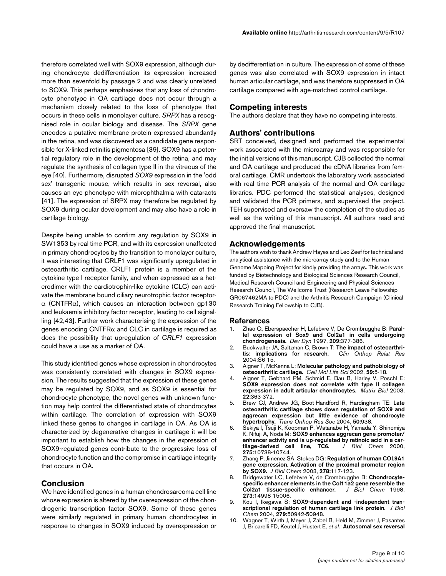therefore correlated well with SOX9 expression, although during chondrocyte dedifferentiation its expression increased more than sevenfold by passage 2 and was clearly unrelated to SOX9. This perhaps emphasises that any loss of chondrocyte phenotype in OA cartilage does not occur through a mechanism closely related to the loss of phenotype that occurs in these cells in monolayer culture. *SRPX* has a recognised role in ocular biology and disease. The *SRPX* gene encodes a putative membrane protein expressed abundantly in the retina, and was discovered as a candidate gene responsible for X-linked retinitis pigmentosa [39]. SOX9 has a potential regulatory role in the development of the retina, and may regulate the synthesis of collagen type II in the vitreous of the eye [40]. Furthermore, disrupted *SOX9* expression in the 'odd sex' transgenic mouse, which results in sex reversal, also causes an eye phenotype with microphthalmia with cataracts [41]. The expression of SRPX may therefore be regulated by SOX9 during ocular development and may also have a role in cartilage biology.

Despite being unable to confirm any regulation by SOX9 in SW1353 by real time PCR, and with its expression unaffected in primary chondrocytes by the transition to monolayer culture, it was interesting that CRLF1 was significantly upregulated in osteoarthritic cartilage. CRLF1 protein is a member of the cytokine type I receptor family, and when expressed as a heterodimer with the cardiotrophin-like cytokine (CLC) can activate the membrane bound ciliary neurotrophic factor receptor- $\alpha$  (CNTFR $\alpha$ ), which causes an interaction between gp130 and leukaemia inhibitory factor receptor, leading to cell signalling [42,43]. Further work characterising the expression of the genes encoding CNTFR $\alpha$  and CLC in cartilage is required as does the possibility that upregulation of *CRLF1* expression could have a use as a marker of OA.

This study identified genes whose expression in chondrocytes was consistently correlated with changes in SOX9 expression. The results suggested that the expression of these genes may be regulated by SOX9, and as SOX9 is essential for chondrocyte phenotype, the novel genes with unknown function may help control the differentiated state of chondrocytes within cartilage. The correlation of expression with SOX9 linked these genes to changes in cartilage in OA. As OA is characterized by degenerative changes in cartilage it will be important to establish how the changes in the expression of SOX9-regulated genes contribute to the progressive loss of chondrocyte function and the compromise in cartilage integrity that occurs in OA.

# **Conclusion**

We have identified genes in a human chondrosarcoma cell line whose expression is altered by the overexpression of the chondrogenic transcription factor SOX9. Some of these genes were similarly regulated in primary human chondrocytes in response to changes in SOX9 induced by overexpression or

by dedifferentiation in culture. The expression of some of these genes was also correlated with SOX9 expression in intact human articular cartilage, and was therefore suppressed in OA cartilage compared with age-matched control cartilage.

### **Competing interests**

The authors declare that they have no competing interests.

# **Authors' contributions**

SRT conceived, designed and performed the experimental work associated with the microarray and was responsible for the initial versions of this manuscript. CJB collected the normal and OA cartilage and produced the cDNA libraries from femoral cartilage. CMR undertook the laboratory work associated with real time PCR analysis of the normal and OA cartilage libraries. PDC performed the statistical analyses, designed and validated the PCR primers, and supervised the project. TEH supervised and oversaw the completion of the studies as well as the writing of this manuscript. All authors read and approved the final manuscript.

# **Acknowledgements**

The authors wish to thank Andrew Hayes and Leo Zeef for technical and analytical assistance with the microarray study and to the Human Genome Mapping Project for kindly providing the arrays. This work was funded by Biotechnology and Biological Sciences Research Council, Medical Research Council and Engineering and Physical Sciences Research Council, The Wellcome Trust (Research Leave Fellowship GR067462MA to PDC) and the Arthritis Research Campaign (Clinical Research Training Fellowship to CJB).

### **References**

- 1. Zhao Q, Eberspaecher H, Lefebvre V, De Crombrugghe B: **[Paral](http://www.ncbi.nlm.nih.gov/entrez/query.fcgi?cmd=Retrieve&db=PubMed&dopt=Abstract&list_uids=9264261)[lel expression of Sox9 and Col2a1 in cells undergoing](http://www.ncbi.nlm.nih.gov/entrez/query.fcgi?cmd=Retrieve&db=PubMed&dopt=Abstract&list_uids=9264261) [chondrogenesis.](http://www.ncbi.nlm.nih.gov/entrez/query.fcgi?cmd=Retrieve&db=PubMed&dopt=Abstract&list_uids=9264261)** *Dev Dyn* 1997, **209:**377-386.
- 2. Buckwalter JA, Saltzman C, Brown T: **[The impact of osteoarthri](http://www.ncbi.nlm.nih.gov/entrez/query.fcgi?cmd=Retrieve&db=PubMed&dopt=Abstract&list_uids=15480076)[tis: implications for research.](http://www.ncbi.nlm.nih.gov/entrez/query.fcgi?cmd=Retrieve&db=PubMed&dopt=Abstract&list_uids=15480076)** *Clin Orthop Relat Res* 2004:S6-15.
- 3. Aigner T, McKenna L: **[Molecular pathology and pathobiology of](http://www.ncbi.nlm.nih.gov/entrez/query.fcgi?cmd=Retrieve&db=PubMed&dopt=Abstract&list_uids=11846033) [osteoarthritic cartilage.](http://www.ncbi.nlm.nih.gov/entrez/query.fcgi?cmd=Retrieve&db=PubMed&dopt=Abstract&list_uids=11846033)** *Cell Mol Life Sci* 2002, **59:**5-18.
- 4. Aigner T, Gebhard PM, Schmid E, Bau B, Harley V, Poschl E: **[SOX9 expression does not correlate with type II collagen](http://www.ncbi.nlm.nih.gov/entrez/query.fcgi?cmd=Retrieve&db=PubMed&dopt=Abstract&list_uids=12935820) [expression in adult articular chondrocytes.](http://www.ncbi.nlm.nih.gov/entrez/query.fcgi?cmd=Retrieve&db=PubMed&dopt=Abstract&list_uids=12935820)** *Matrix Biol* 2003, **22:**363-372.
- 5. Brew CJ, Andrew JG, Boot-Handford R, Hardingham TE: **Late osteoarthritic cartilage shows down regulation of SOX9 and aggrecan expression but little evidence of chondrocyte hypertrophy.** *Trans Orthop Res Soc* 2004, **50:**938.
- 6. Sekiya I, Tsuji K, Koopman P, Watanabe H, Yamada Y, Shinomiya K, Nifuji A, Noda M: **[SOX9 enhances aggrecan gene promoter/](http://www.ncbi.nlm.nih.gov/entrez/query.fcgi?cmd=Retrieve&db=PubMed&dopt=Abstract&list_uids=10753864) [enhancer activity and is up-regulated by retinoic acid in a car](http://www.ncbi.nlm.nih.gov/entrez/query.fcgi?cmd=Retrieve&db=PubMed&dopt=Abstract&list_uids=10753864)[tilage-derived cell line, TC6.](http://www.ncbi.nlm.nih.gov/entrez/query.fcgi?cmd=Retrieve&db=PubMed&dopt=Abstract&list_uids=10753864)** *J Biol Chem* 2000, **275:**10738-10744.
- 7. Zhang P, Jimenez SA, Stokes DG: **[Regulation of human COL9A1](http://www.ncbi.nlm.nih.gov/entrez/query.fcgi?cmd=Retrieve&db=PubMed&dopt=Abstract&list_uids=12399468) [gene expression. Activation of the proximal promoter region](http://www.ncbi.nlm.nih.gov/entrez/query.fcgi?cmd=Retrieve&db=PubMed&dopt=Abstract&list_uids=12399468) [by SOX9.](http://www.ncbi.nlm.nih.gov/entrez/query.fcgi?cmd=Retrieve&db=PubMed&dopt=Abstract&list_uids=12399468)** *J Biol Chem* 2003, **278:**117-123.
- 8. Bridgewater LC, Lefebvre V, de Crombrugghe B: **[Chondrocyte](http://www.ncbi.nlm.nih.gov/entrez/query.fcgi?cmd=Retrieve&db=PubMed&dopt=Abstract&list_uids=9614107)[specific enhancer elements in the Col11a2 gene resemble the](http://www.ncbi.nlm.nih.gov/entrez/query.fcgi?cmd=Retrieve&db=PubMed&dopt=Abstract&list_uids=9614107) Col2a1 tissue-specific enhancer.** J Biol Chem 1998, [Col2a1 tissue-specific enhancer.](http://www.ncbi.nlm.nih.gov/entrez/query.fcgi?cmd=Retrieve&db=PubMed&dopt=Abstract&list_uids=9614107) **273:**14998-15006.
- 9. Kou I, Ikegawa S: **[SOX9-dependent and -independent tran](http://www.ncbi.nlm.nih.gov/entrez/query.fcgi?cmd=Retrieve&db=PubMed&dopt=Abstract&list_uids=15456769)[scriptional regulation of human cartilage link protein.](http://www.ncbi.nlm.nih.gov/entrez/query.fcgi?cmd=Retrieve&db=PubMed&dopt=Abstract&list_uids=15456769)** *J Biol Chem* 2004, **279:**50942-50948.
- 10. Wagner T, Wirth J, Meyer J, Zabel B, Held M, Zimmer J, Pasantes J, Bricarelli FD, Keutel J, Hustert E, *et al.*: **[Autosomal sex reversal](http://www.ncbi.nlm.nih.gov/entrez/query.fcgi?cmd=Retrieve&db=PubMed&dopt=Abstract&list_uids=8001137)**